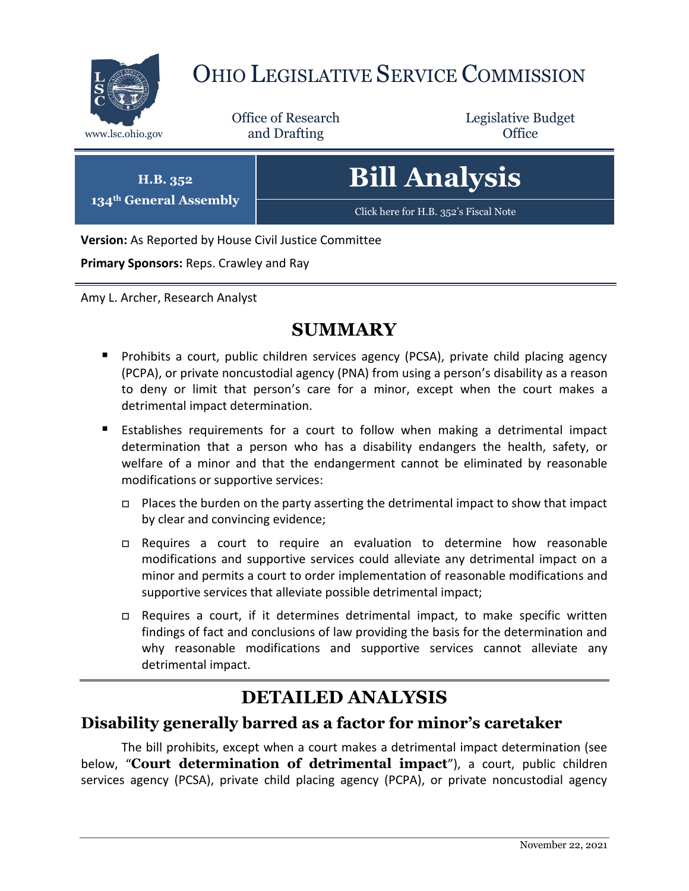

# OHIO LEGISLATIVE SERVICE COMMISSION

Office of Research www.lsc.ohio.gov **and Drafting Office** 

Legislative Budget

**H.B. 352 134th General Assembly** **Bill Analysis**

[Click here for H.B. 352](https://www.legislature.ohio.gov/legislation/legislation-documents?id=GA134-HB-352)'s Fiscal Note

**Version:** As Reported by House Civil Justice Committee

**Primary Sponsors:** Reps. Crawley and Ray

Amy L. Archer, Research Analyst

## **SUMMARY**

- **Prohibits a court, public children services agency (PCSA), private child placing agency** (PCPA), or private noncustodial agency (PNA) from using a person's disability as a reason to deny or limit that person's care for a minor, except when the court makes a detrimental impact determination.
- Establishes requirements for a court to follow when making a detrimental impact determination that a person who has a disability endangers the health, safety, or welfare of a minor and that the endangerment cannot be eliminated by reasonable modifications or supportive services:
	- $\Box$  Places the burden on the party asserting the detrimental impact to show that impact by clear and convincing evidence;
	- Requires a court to require an evaluation to determine how reasonable modifications and supportive services could alleviate any detrimental impact on a minor and permits a court to order implementation of reasonable modifications and supportive services that alleviate possible detrimental impact;
	- $\Box$  Requires a court, if it determines detrimental impact, to make specific written findings of fact and conclusions of law providing the basis for the determination and why reasonable modifications and supportive services cannot alleviate any detrimental impact.

# **DETAILED ANALYSIS**

## **Disability generally barred as a factor for minor's caretaker**

The bill prohibits, except when a court makes a detrimental impact determination (see below, "**Court determination of detrimental impact**"), a court, public children services agency (PCSA), private child placing agency (PCPA), or private noncustodial agency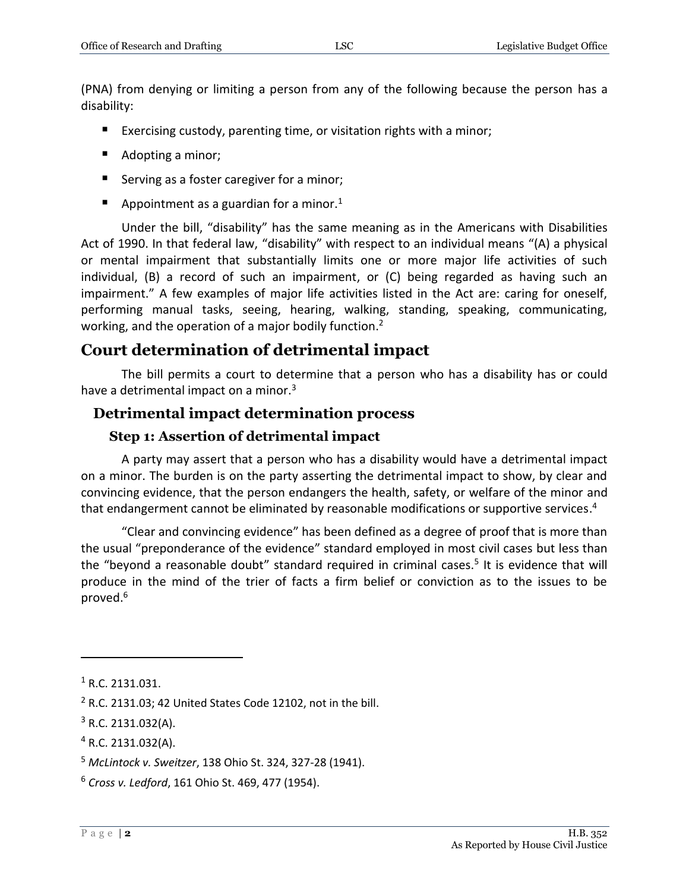(PNA) from denying or limiting a person from any of the following because the person has a disability:

- Exercising custody, parenting time, or visitation rights with a minor;
- Adopting a minor;
- Serving as a foster caregiver for a minor;
- Appointment as a guardian for a minor.<sup>1</sup>

Under the bill, "disability" has the same meaning as in the Americans with Disabilities Act of 1990. In that federal law, "disability" with respect to an individual means "(A) a physical or mental impairment that substantially limits one or more major life activities of such individual, (B) a record of such an impairment, or (C) being regarded as having such an impairment." A few examples of major life activities listed in the Act are: caring for oneself, performing manual tasks, seeing, hearing, walking, standing, speaking, communicating, working, and the operation of a major bodily function.<sup>2</sup>

### **Court determination of detrimental impact**

The bill permits a court to determine that a person who has a disability has or could have a detrimental impact on a minor.<sup>3</sup>

#### **Detrimental impact determination process**

#### **Step 1: Assertion of detrimental impact**

A party may assert that a person who has a disability would have a detrimental impact on a minor. The burden is on the party asserting the detrimental impact to show, by clear and convincing evidence, that the person endangers the health, safety, or welfare of the minor and that endangerment cannot be eliminated by reasonable modifications or supportive services.<sup>4</sup>

"Clear and convincing evidence" has been defined as a degree of proof that is more than the usual "preponderance of the evidence" standard employed in most civil cases but less than the "beyond a reasonable doubt" standard required in criminal cases.<sup>5</sup> It is evidence that will produce in the mind of the trier of facts a firm belief or conviction as to the issues to be proved.<sup>6</sup>

 $\overline{a}$ 

<sup>1</sup> R.C. 2131.031.

 $2$  R.C. 2131.03; 42 United States Code 12102, not in the bill.

 $3$  R.C. 2131.032(A).

<sup>4</sup> R.C. 2131.032(A).

<sup>5</sup> *McLintock v. Sweitzer*, 138 Ohio St. 324, 327-28 (1941).

<sup>6</sup> *Cross v. Ledford*, 161 Ohio St. 469, 477 (1954).